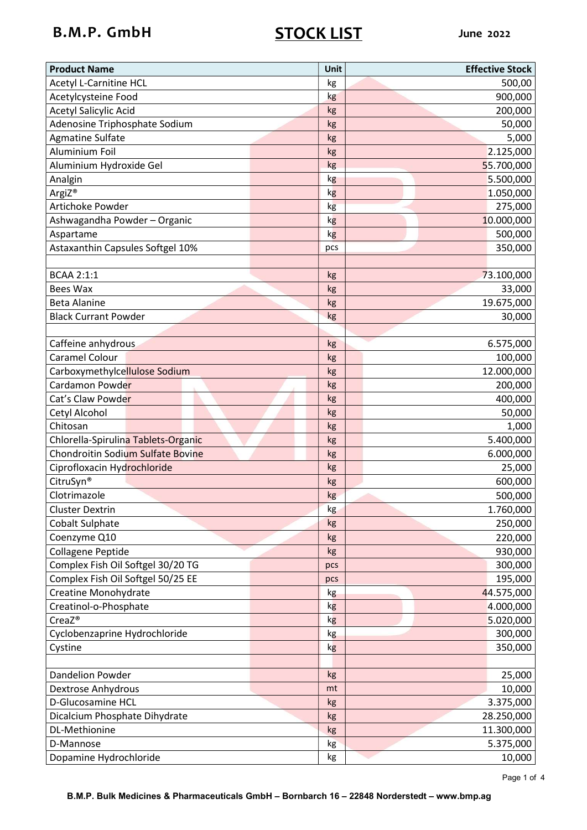# B.M.P. GmbH STOCK LIST June 2022

| <b>Product Name</b>                      | Unit     | <b>Effective Stock</b> |
|------------------------------------------|----------|------------------------|
| <b>Acetyl L-Carnitine HCL</b>            | kg       | 500,00                 |
| Acetylcysteine Food                      | kg       | 900,000                |
| <b>Acetyl Salicylic Acid</b>             | kg       | 200,000                |
| Adenosine Triphosphate Sodium            | kg       | 50,000                 |
| <b>Agmatine Sulfate</b>                  | kg       | 5,000                  |
| Aluminium Foil                           | kg       | 2.125,000              |
| Aluminium Hydroxide Gel                  | kg       | 55.700,000             |
| Analgin                                  | kg       | 5.500,000              |
| ArgiZ <sup>®</sup>                       | kg       | 1.050,000              |
| Artichoke Powder                         | kg       | 275,000                |
| Ashwagandha Powder - Organic             | kg       | 10.000,000             |
| Aspartame                                | kg       | 500,000                |
| Astaxanthin Capsules Softgel 10%         | pcs      | 350,000                |
|                                          |          |                        |
| <b>BCAA 2:1:1</b>                        | kg       | 73.100,000             |
| <b>Bees Wax</b>                          | kg       | 33,000                 |
| <b>Beta Alanine</b>                      | kg       | 19.675,000             |
| <b>Black Currant Powder</b>              | kg       | 30,000                 |
|                                          |          |                        |
| Caffeine anhydrous                       | kg       | 6.575,000              |
| <b>Caramel Colour</b>                    | kg       | 100,000                |
| Carboxymethylcellulose Sodium            | kg       | 12.000,000             |
| Cardamon Powder                          | kg       | 200,000                |
| Cat's Claw Powder                        | kg       | 400,000                |
| Cetyl Alcohol                            | kg       | 50,000                 |
| Chitosan                                 | kg       | 1,000                  |
| Chlorella-Spirulina Tablets-Organic      | kg       | 5.400,000              |
| <b>Chondroitin Sodium Sulfate Bovine</b> | kg       | 6.000,000              |
| Ciprofloxacin Hydrochloride              | kg       | 25,000                 |
| CitruSyn®                                | kg       | 600,000                |
| Clotrimazole                             | kg       | 500,000                |
| <b>Cluster Dextrin</b>                   | kg       | 1.760,000              |
| <b>Cobalt Sulphate</b>                   | kg       | 250,000                |
| Coenzyme Q10                             | kg       | 220,000                |
| <b>Collagene Peptide</b>                 | kg       | 930,000                |
| Complex Fish Oil Softgel 30/20 TG        | pcs      | 300,000                |
| Complex Fish Oil Softgel 50/25 EE        | pcs      | 195,000                |
| Creatine Monohydrate                     | kg       | 44.575,000             |
| Creatinol-o-Phosphate                    | kg       | 4.000,000              |
| CreaZ <sup>®</sup>                       | kg       | 5.020,000              |
| Cyclobenzaprine Hydrochloride            |          | 300,000                |
|                                          | kg       |                        |
| Cystine                                  | kg       | 350,000                |
| Dandelion Powder                         |          |                        |
|                                          | kg<br>mt | 25,000                 |
| Dextrose Anhydrous                       |          | 10,000                 |
| D-Glucosamine HCL                        | kg       | 3.375,000              |
| Dicalcium Phosphate Dihydrate            | kg       | 28.250,000             |
| DL-Methionine                            | kg       | 11.300,000             |
| D-Mannose                                | kg       | 5.375,000              |
| Dopamine Hydrochloride                   | kg       | 10,000                 |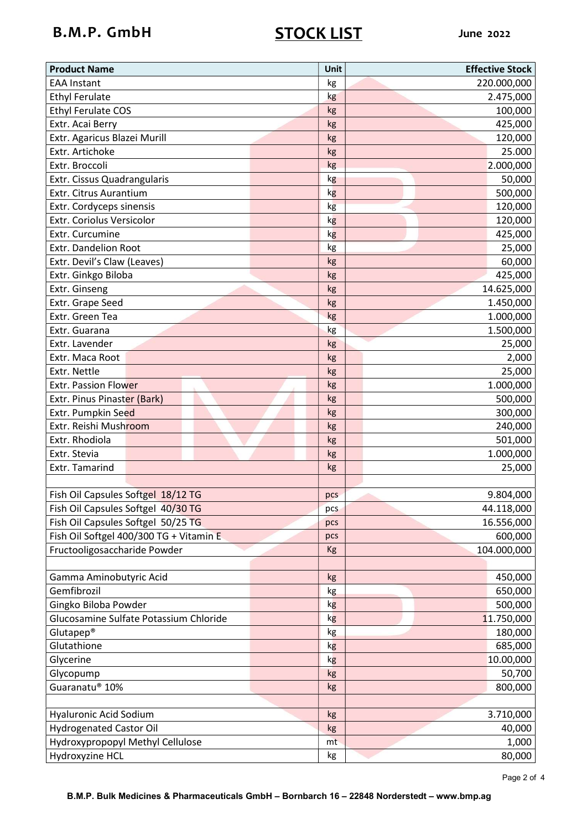# B.M.P. GmbH STOCK LIST June 2022

| <b>Product Name</b>                     | Unit | <b>Effective Stock</b> |
|-----------------------------------------|------|------------------------|
| <b>EAA Instant</b>                      | kg   | 220.000,000            |
| <b>Ethyl Ferulate</b>                   | kg   | 2.475,000              |
| <b>Ethyl Ferulate COS</b>               | kg   | 100,000                |
| Extr. Acai Berry                        | kg   | 425,000                |
| Extr. Agaricus Blazei Murill            | kg   | 120,000                |
| Extr. Artichoke                         | kg   | 25.000                 |
| Extr. Broccoli                          | kg   | 2.000,000              |
| Extr. Cissus Quadrangularis             | kg   | 50,000                 |
| Extr. Citrus Aurantium                  | kg   | 500,000                |
| Extr. Cordyceps sinensis                | kg   | 120,000                |
| Extr. Coriolus Versicolor               | kg   | 120,000                |
| Extr. Curcumine                         | kg   | 425,000                |
| Extr. Dandelion Root                    | kg   | 25,000                 |
| Extr. Devil's Claw (Leaves)             | kg   | 60,000                 |
| Extr. Ginkgo Biloba                     | kg   | 425,000                |
| Extr. Ginseng                           | kg   | 14.625,000             |
| Extr. Grape Seed                        | kg   | 1.450,000              |
| Extr. Green Tea                         | kg   | 1.000,000              |
| Extr. Guarana                           | kg   | 1.500,000              |
| Extr. Lavender                          | kg   | 25,000                 |
| Extr. Maca Root                         | kg   | 2,000                  |
| Extr. Nettle                            | kg   | 25,000                 |
| <b>Extr. Passion Flower</b>             | kg   | 1.000,000              |
| Extr. Pinus Pinaster (Bark)             | kg   | 500,000                |
| Extr. Pumpkin Seed                      | kg   | 300,000                |
| Extr. Reishi Mushroom                   | kg   | 240,000                |
| Extr. Rhodiola                          | kg   | 501,000                |
| Extr. Stevia                            | kg   | 1.000,000              |
| Extr. Tamarind                          | kg   | 25,000                 |
|                                         |      |                        |
| Fish Oil Capsules Softgel 18/12 TG      | pcs  | 9.804,000              |
| Fish Oil Capsules Softgel 40/30 TG      | pcs  | 44.118,000             |
| Fish Oil Capsules Softgel 50/25 TG      | pcs  | 16.556,000             |
| Fish Oil Softgel 400/300 TG + Vitamin E | pcs  | 600,000                |
| Fructooligosaccharide Powder            | Kg   | 104.000,000            |
|                                         |      |                        |
| Gamma Aminobutyric Acid                 | kg   | 450,000                |
| Gemfibrozil                             | kg   | 650,000                |
| Gingko Biloba Powder                    | kg   | 500,000                |
| Glucosamine Sulfate Potassium Chloride  | kg   | 11.750,000             |
| Glutapep <sup>®</sup>                   | kg   | 180,000                |
| Glutathione                             | kg   | 685,000                |
| Glycerine                               | kg   | 10.00,000              |
| Glycopump                               | kg   | 50,700                 |
| Guaranatu® 10%                          | kg   | 800,000                |
|                                         |      |                        |
| Hyaluronic Acid Sodium                  | kg   | 3.710,000              |
| <b>Hydrogenated Castor Oil</b>          | kg   | 40,000                 |
| Hydroxypropopyl Methyl Cellulose        | mt   | 1,000                  |
| Hydroxyzine HCL                         | kg   | 80,000                 |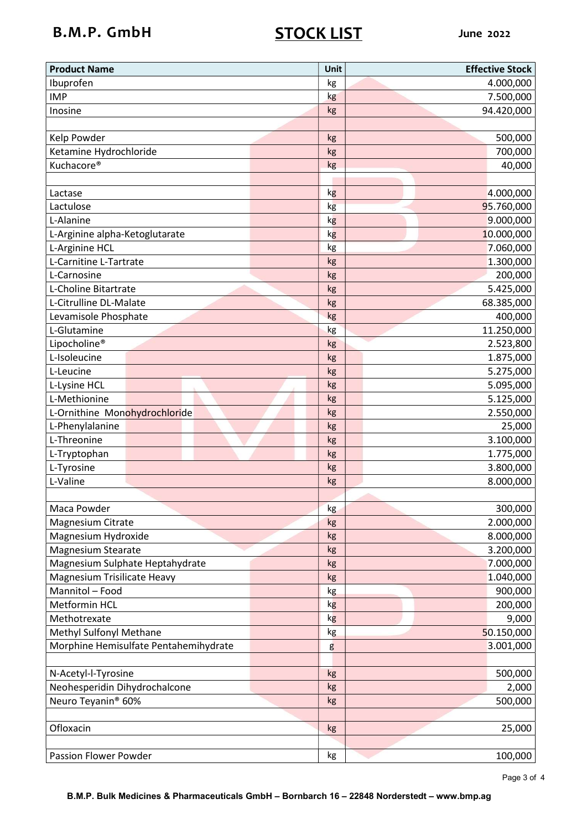# B.M.P. GmbH STOCK LIST June 2022

| <b>Product Name</b>                   | Unit | <b>Effective Stock</b> |
|---------------------------------------|------|------------------------|
| Ibuprofen                             | kg   | 4.000,000              |
| <b>IMP</b>                            | kg   | 7.500,000              |
| Inosine                               | kg   | 94.420,000             |
|                                       |      |                        |
| Kelp Powder                           | kg   | 500,000                |
| Ketamine Hydrochloride                | kg   | 700,000                |
| Kuchacore <sup>®</sup>                | kg   | 40,000                 |
|                                       |      |                        |
| Lactase                               | kg   | 4.000,000              |
| Lactulose                             | kg   | 95.760,000             |
| L-Alanine                             | kg   | 9.000,000              |
| L-Arginine alpha-Ketoglutarate        | kg   | 10.000,000             |
| L-Arginine HCL                        | kg   | 7.060,000              |
| L-Carnitine L-Tartrate                | kg   | 1.300,000              |
| L-Carnosine                           | kg   | 200,000                |
| L-Choline Bitartrate                  | kg   | 5.425,000              |
| L-Citrulline DL-Malate                | kg   | 68.385,000             |
| Levamisole Phosphate                  | kg   | 400,000                |
| L-Glutamine                           | kg   | 11.250,000             |
| Lipocholine <sup>®</sup>              | kg   | 2.523,800              |
| L-Isoleucine                          | kg   | 1.875,000              |
| L-Leucine                             | kg   | 5.275,000              |
| L-Lysine HCL                          | kg   | 5.095,000              |
| L-Methionine                          | kg   | 5.125,000              |
| L-Ornithine Monohydrochloride         | kg   | 2.550,000              |
| L-Phenylalanine                       | kg   | 25,000                 |
| L-Threonine                           | kg   | 3.100,000              |
| L-Tryptophan                          | kg   | 1.775,000              |
| L-Tyrosine                            | kg   | 3.800,000              |
| L-Valine                              | kg   | 8.000,000              |
|                                       |      |                        |
| Maca Powder                           | kg   | 300,000                |
| Magnesium Citrate                     | kg   | 2.000,000              |
| Magnesium Hydroxide                   | kg   | 8.000,000              |
| <b>Magnesium Stearate</b>             | kg   | 3.200,000              |
| Magnesium Sulphate Heptahydrate       | kg   | 7.000,000              |
| Magnesium Trisilicate Heavy           | kg   | 1.040,000              |
| Mannitol - Food                       | kg   | 900,000                |
| Metformin HCL                         | kg   | 200,000                |
| Methotrexate                          | kg   | 9,000                  |
| Methyl Sulfonyl Methane               | kg   | 50.150,000             |
| Morphine Hemisulfate Pentahemihydrate | g    | 3.001,000              |
|                                       |      |                        |
| N-Acetyl-l-Tyrosine                   | kg   | 500,000                |
| Neohesperidin Dihydrochalcone         | kg   | 2,000                  |
| Neuro Teyanin <sup>®</sup> 60%        | kg   | 500,000                |
|                                       |      |                        |
| Ofloxacin                             | kg   | 25,000                 |
|                                       |      |                        |
| Passion Flower Powder                 | kg   | 100,000                |